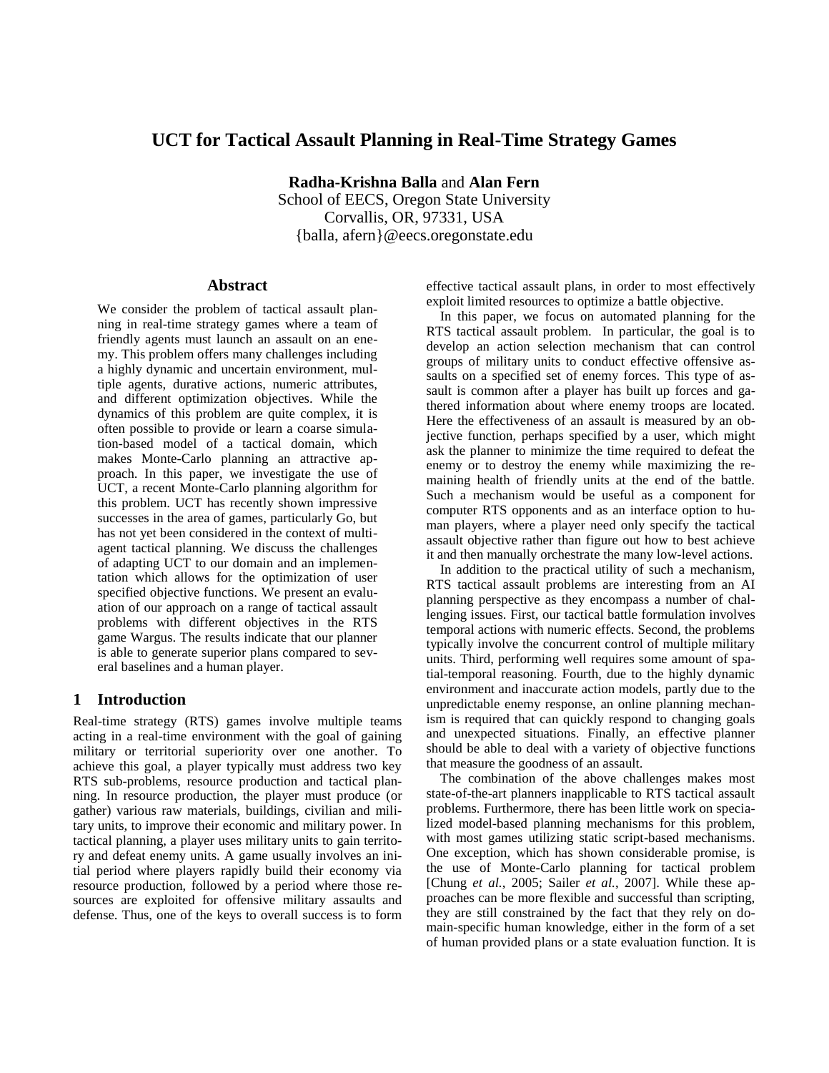# **UCT for Tactical Assault Planning in Real-Time Strategy Games**

**Radha-Krishna Balla** and **Alan Fern** School of EECS, Oregon State University Corvallis, OR, 97331, USA {balla, afern}@eecs.oregonstate.edu

#### **Abstract**

We consider the problem of tactical assault planning in real-time strategy games where a team of friendly agents must launch an assault on an enemy. This problem offers many challenges including a highly dynamic and uncertain environment, multiple agents, durative actions, numeric attributes, and different optimization objectives. While the dynamics of this problem are quite complex, it is often possible to provide or learn a coarse simulation-based model of a tactical domain, which makes Monte-Carlo planning an attractive approach. In this paper, we investigate the use of UCT, a recent Monte-Carlo planning algorithm for this problem. UCT has recently shown impressive successes in the area of games, particularly Go, but has not yet been considered in the context of multiagent tactical planning. We discuss the challenges of adapting UCT to our domain and an implementation which allows for the optimization of user specified objective functions. We present an evaluation of our approach on a range of tactical assault problems with different objectives in the RTS game Wargus. The results indicate that our planner is able to generate superior plans compared to several baselines and a human player.

## **1 Introduction**

Real-time strategy (RTS) games involve multiple teams acting in a real-time environment with the goal of gaining military or territorial superiority over one another. To achieve this goal, a player typically must address two key RTS sub-problems, resource production and tactical planning. In resource production, the player must produce (or gather) various raw materials, buildings, civilian and military units, to improve their economic and military power. In tactical planning, a player uses military units to gain territory and defeat enemy units. A game usually involves an initial period where players rapidly build their economy via resource production, followed by a period where those resources are exploited for offensive military assaults and defense. Thus, one of the keys to overall success is to form

effective tactical assault plans, in order to most effectively exploit limited resources to optimize a battle objective.

In this paper, we focus on automated planning for the RTS tactical assault problem. In particular, the goal is to develop an action selection mechanism that can control groups of military units to conduct effective offensive assaults on a specified set of enemy forces. This type of assault is common after a player has built up forces and gathered information about where enemy troops are located. Here the effectiveness of an assault is measured by an objective function, perhaps specified by a user, which might ask the planner to minimize the time required to defeat the enemy or to destroy the enemy while maximizing the remaining health of friendly units at the end of the battle. Such a mechanism would be useful as a component for computer RTS opponents and as an interface option to human players, where a player need only specify the tactical assault objective rather than figure out how to best achieve it and then manually orchestrate the many low-level actions.

In addition to the practical utility of such a mechanism, RTS tactical assault problems are interesting from an AI planning perspective as they encompass a number of challenging issues. First, our tactical battle formulation involves temporal actions with numeric effects. Second, the problems typically involve the concurrent control of multiple military units. Third, performing well requires some amount of spatial-temporal reasoning. Fourth, due to the highly dynamic environment and inaccurate action models, partly due to the unpredictable enemy response, an online planning mechanism is required that can quickly respond to changing goals and unexpected situations. Finally, an effective planner should be able to deal with a variety of objective functions that measure the goodness of an assault.

The combination of the above challenges makes most state-of-the-art planners inapplicable to RTS tactical assault problems. Furthermore, there has been little work on specialized model-based planning mechanisms for this problem, with most games utilizing static script-based mechanisms. One exception, which has shown considerable promise, is the use of Monte-Carlo planning for tactical problem [Chung *et al.*, 2005; Sailer *et al.*, 2007]. While these approaches can be more flexible and successful than scripting, they are still constrained by the fact that they rely on domain-specific human knowledge, either in the form of a set of human provided plans or a state evaluation function. It is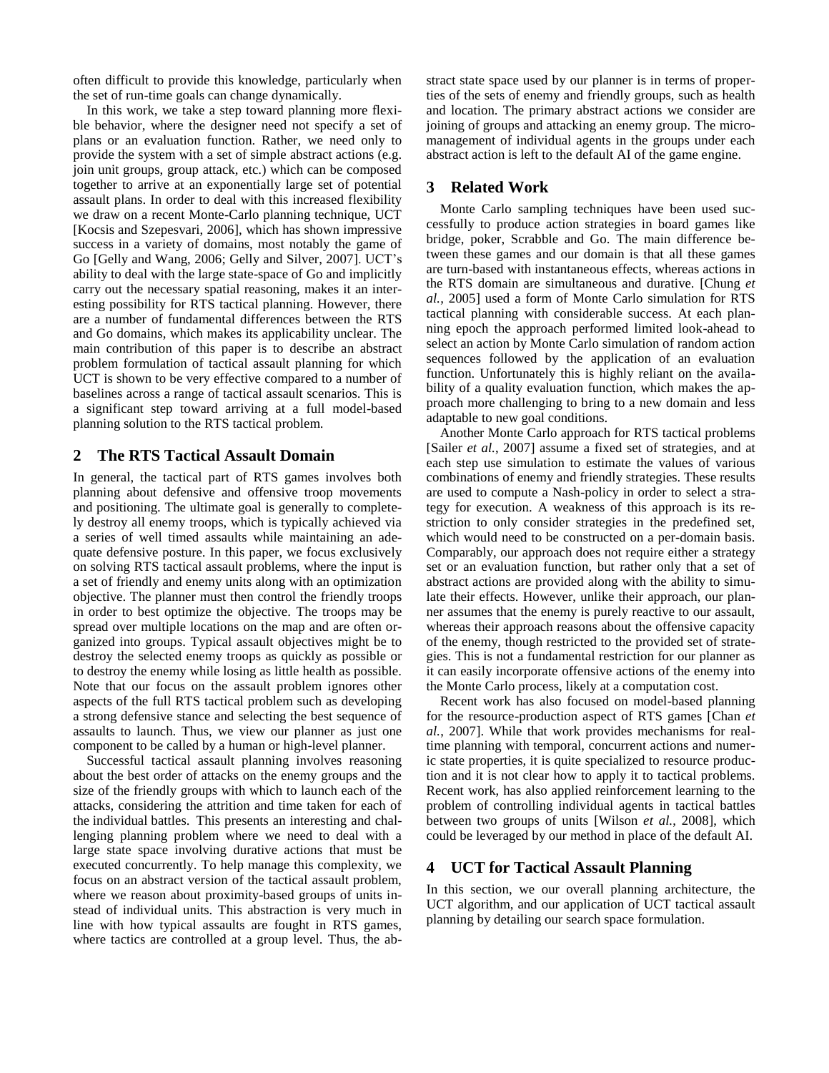often difficult to provide this knowledge, particularly when the set of run-time goals can change dynamically.

In this work, we take a step toward planning more flexible behavior, where the designer need not specify a set of plans or an evaluation function. Rather, we need only to provide the system with a set of simple abstract actions (e.g. join unit groups, group attack, etc.) which can be composed together to arrive at an exponentially large set of potential assault plans. In order to deal with this increased flexibility we draw on a recent Monte-Carlo planning technique, UCT [Kocsis and Szepesvari, 2006], which has shown impressive success in a variety of domains, most notably the game of Go [Gelly and Wang, 2006; Gelly and Silver, 2007]. UCT's ability to deal with the large state-space of Go and implicitly carry out the necessary spatial reasoning, makes it an interesting possibility for RTS tactical planning. However, there are a number of fundamental differences between the RTS and Go domains, which makes its applicability unclear. The main contribution of this paper is to describe an abstract problem formulation of tactical assault planning for which UCT is shown to be very effective compared to a number of baselines across a range of tactical assault scenarios. This is a significant step toward arriving at a full model-based planning solution to the RTS tactical problem.

# **2 The RTS Tactical Assault Domain**

In general, the tactical part of RTS games involves both planning about defensive and offensive troop movements and positioning. The ultimate goal is generally to completely destroy all enemy troops, which is typically achieved via a series of well timed assaults while maintaining an adequate defensive posture. In this paper, we focus exclusively on solving RTS tactical assault problems, where the input is a set of friendly and enemy units along with an optimization objective. The planner must then control the friendly troops in order to best optimize the objective. The troops may be spread over multiple locations on the map and are often organized into groups. Typical assault objectives might be to destroy the selected enemy troops as quickly as possible or to destroy the enemy while losing as little health as possible. Note that our focus on the assault problem ignores other aspects of the full RTS tactical problem such as developing a strong defensive stance and selecting the best sequence of assaults to launch. Thus, we view our planner as just one component to be called by a human or high-level planner.

Successful tactical assault planning involves reasoning about the best order of attacks on the enemy groups and the size of the friendly groups with which to launch each of the attacks, considering the attrition and time taken for each of the individual battles. This presents an interesting and challenging planning problem where we need to deal with a large state space involving durative actions that must be executed concurrently. To help manage this complexity, we focus on an abstract version of the tactical assault problem, where we reason about proximity-based groups of units instead of individual units. This abstraction is very much in line with how typical assaults are fought in RTS games, where tactics are controlled at a group level. Thus, the abstract state space used by our planner is in terms of properties of the sets of enemy and friendly groups, such as health and location. The primary abstract actions we consider are joining of groups and attacking an enemy group. The micromanagement of individual agents in the groups under each abstract action is left to the default AI of the game engine.

# **3 Related Work**

Monte Carlo sampling techniques have been used successfully to produce action strategies in board games like bridge, poker, Scrabble and Go. The main difference between these games and our domain is that all these games are turn-based with instantaneous effects, whereas actions in the RTS domain are simultaneous and durative. [Chung *et al.,* 2005] used a form of Monte Carlo simulation for RTS tactical planning with considerable success. At each planning epoch the approach performed limited look-ahead to select an action by Monte Carlo simulation of random action sequences followed by the application of an evaluation function. Unfortunately this is highly reliant on the availability of a quality evaluation function, which makes the approach more challenging to bring to a new domain and less adaptable to new goal conditions.

Another Monte Carlo approach for RTS tactical problems [Sailer *et al.*, 2007] assume a fixed set of strategies, and at each step use simulation to estimate the values of various combinations of enemy and friendly strategies. These results are used to compute a Nash-policy in order to select a strategy for execution. A weakness of this approach is its restriction to only consider strategies in the predefined set, which would need to be constructed on a per-domain basis. Comparably, our approach does not require either a strategy set or an evaluation function, but rather only that a set of abstract actions are provided along with the ability to simulate their effects. However, unlike their approach, our planner assumes that the enemy is purely reactive to our assault, whereas their approach reasons about the offensive capacity of the enemy, though restricted to the provided set of strategies. This is not a fundamental restriction for our planner as it can easily incorporate offensive actions of the enemy into the Monte Carlo process, likely at a computation cost.

Recent work has also focused on model-based planning for the resource-production aspect of RTS games [Chan *et al.*, 2007]. While that work provides mechanisms for realtime planning with temporal, concurrent actions and numeric state properties, it is quite specialized to resource production and it is not clear how to apply it to tactical problems. Recent work, has also applied reinforcement learning to the problem of controlling individual agents in tactical battles between two groups of units [Wilson *et al.*, 2008], which could be leveraged by our method in place of the default AI.

#### **4 UCT for Tactical Assault Planning**

In this section, we our overall planning architecture, the UCT algorithm, and our application of UCT tactical assault planning by detailing our search space formulation.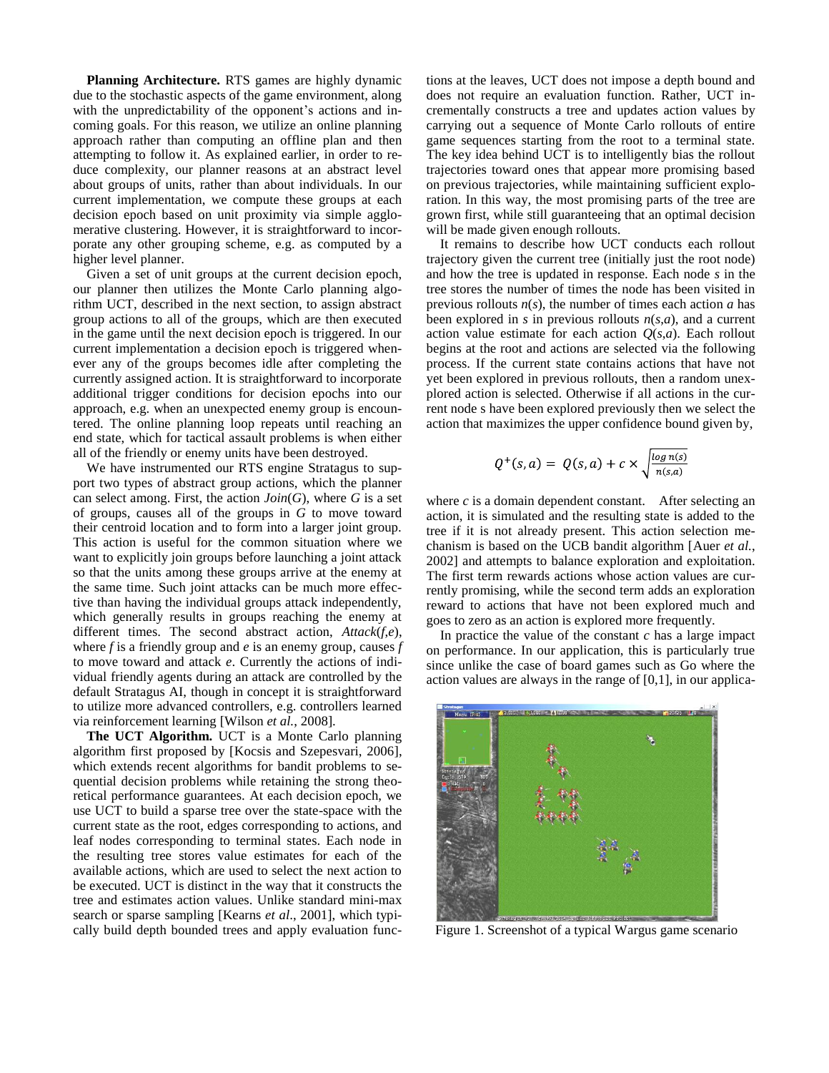**Planning Architecture.** RTS games are highly dynamic due to the stochastic aspects of the game environment, along with the unpredictability of the opponent's actions and incoming goals. For this reason, we utilize an online planning approach rather than computing an offline plan and then attempting to follow it. As explained earlier, in order to reduce complexity, our planner reasons at an abstract level about groups of units, rather than about individuals. In our current implementation, we compute these groups at each decision epoch based on unit proximity via simple agglomerative clustering. However, it is straightforward to incorporate any other grouping scheme, e.g. as computed by a higher level planner.

Given a set of unit groups at the current decision epoch, our planner then utilizes the Monte Carlo planning algorithm UCT, described in the next section, to assign abstract group actions to all of the groups, which are then executed in the game until the next decision epoch is triggered. In our current implementation a decision epoch is triggered whenever any of the groups becomes idle after completing the currently assigned action. It is straightforward to incorporate additional trigger conditions for decision epochs into our approach, e.g. when an unexpected enemy group is encountered. The online planning loop repeats until reaching an end state, which for tactical assault problems is when either all of the friendly or enemy units have been destroyed.

We have instrumented our RTS engine Stratagus to support two types of abstract group actions, which the planner can select among. First, the action  $Join(G)$ , where *G* is a set of groups, causes all of the groups in *G* to move toward their centroid location and to form into a larger joint group. This action is useful for the common situation where we want to explicitly join groups before launching a joint attack so that the units among these groups arrive at the enemy at the same time. Such joint attacks can be much more effective than having the individual groups attack independently, which generally results in groups reaching the enemy at different times. The second abstract action, *Attack*(*f*,*e*), where *f* is a friendly group and *e* is an enemy group, causes *f*  to move toward and attack *e*. Currently the actions of individual friendly agents during an attack are controlled by the default Stratagus AI, though in concept it is straightforward to utilize more advanced controllers, e.g. controllers learned via reinforcement learning [Wilson *et al.*, 2008].

**The UCT Algorithm.** UCT is a Monte Carlo planning algorithm first proposed by [Kocsis and Szepesvari, 2006], which extends recent algorithms for bandit problems to sequential decision problems while retaining the strong theoretical performance guarantees. At each decision epoch, we use UCT to build a sparse tree over the state-space with the current state as the root, edges corresponding to actions, and leaf nodes corresponding to terminal states. Each node in the resulting tree stores value estimates for each of the available actions, which are used to select the next action to be executed. UCT is distinct in the way that it constructs the tree and estimates action values. Unlike standard mini-max search or sparse sampling [Kearns *et al*., 2001], which typically build depth bounded trees and apply evaluation functions at the leaves, UCT does not impose a depth bound and does not require an evaluation function. Rather, UCT incrementally constructs a tree and updates action values by carrying out a sequence of Monte Carlo rollouts of entire game sequences starting from the root to a terminal state. The key idea behind UCT is to intelligently bias the rollout trajectories toward ones that appear more promising based on previous trajectories, while maintaining sufficient exploration. In this way, the most promising parts of the tree are grown first, while still guaranteeing that an optimal decision will be made given enough rollouts.

It remains to describe how UCT conducts each rollout trajectory given the current tree (initially just the root node) and how the tree is updated in response. Each node *s* in the tree stores the number of times the node has been visited in previous rollouts *n*(*s*), the number of times each action *a* has been explored in *s* in previous rollouts  $n(s,a)$ , and a current action value estimate for each action  $Q(s,a)$ . Each rollout begins at the root and actions are selected via the following process. If the current state contains actions that have not yet been explored in previous rollouts, then a random unexplored action is selected. Otherwise if all actions in the current node s have been explored previously then we select the action that maximizes the upper confidence bound given by,

$$
Q^+(s,a) = Q(s,a) + c \times \sqrt{\frac{\log n(s)}{n(s,a)}}
$$

where *c* is a domain dependent constant. After selecting an action, it is simulated and the resulting state is added to the tree if it is not already present. This action selection mechanism is based on the UCB bandit algorithm [Auer *et al.*, 2002] and attempts to balance exploration and exploitation. The first term rewards actions whose action values are currently promising, while the second term adds an exploration reward to actions that have not been explored much and goes to zero as an action is explored more frequently.

In practice the value of the constant *c* has a large impact on performance. In our application, this is particularly true since unlike the case of board games such as Go where the action values are always in the range of [0,1], in our applica-



Figure 1. Screenshot of a typical Wargus game scenario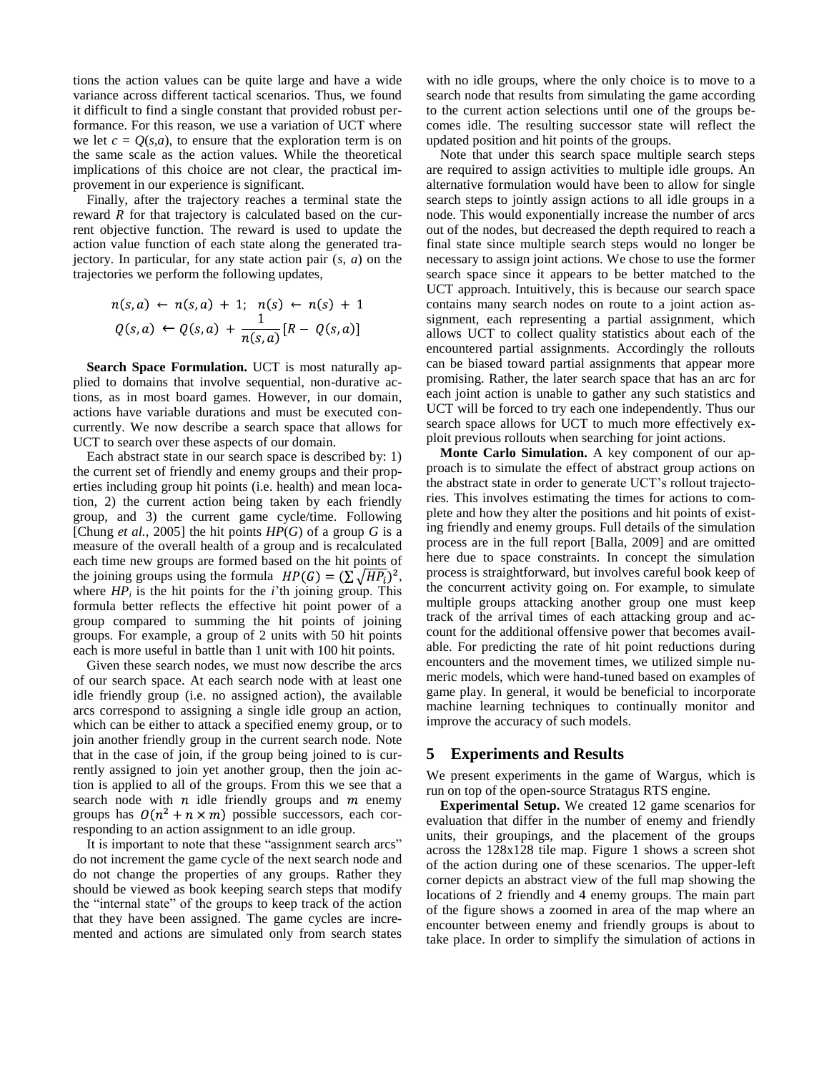tions the action values can be quite large and have a wide variance across different tactical scenarios. Thus, we found it difficult to find a single constant that provided robust performance. For this reason, we use a variation of UCT where we let  $c = Q(s,a)$ , to ensure that the exploration term is on the same scale as the action values. While the theoretical implications of this choice are not clear, the practical improvement in our experience is significant.

Finally, after the trajectory reaches a terminal state the reward  $R$  for that trajectory is calculated based on the current objective function. The reward is used to update the action value function of each state along the generated trajectory. In particular, for any state action pair (*s*, *a*) on the trajectories we perform the following updates,

$$
n(s,a) \leftarrow n(s,a) + 1; \ n(s) \leftarrow n(s) + 1 Q(s,a) \leftarrow Q(s,a) + \frac{1}{n(s,a)} [R - Q(s,a)]
$$

**Search Space Formulation.** UCT is most naturally applied to domains that involve sequential, non-durative actions, as in most board games. However, in our domain, actions have variable durations and must be executed concurrently. We now describe a search space that allows for UCT to search over these aspects of our domain.

Each abstract state in our search space is described by: 1) the current set of friendly and enemy groups and their properties including group hit points (i.e. health) and mean location, 2) the current action being taken by each friendly group, and 3) the current game cycle/time. Following [Chung *et al.*, 2005] the hit points *HP*(*G*) of a group *G* is a measure of the overall health of a group and is recalculated each time new groups are formed based on the hit points of the joining groups using the formula  $HP(G) = (\sum \sqrt{HP_i})^2$ , where  $HP_i$  is the hit points for the *i*'th joining group. This formula better reflects the effective hit point power of a group compared to summing the hit points of joining groups. For example, a group of 2 units with 50 hit points each is more useful in battle than 1 unit with 100 hit points.

Given these search nodes, we must now describe the arcs of our search space. At each search node with at least one idle friendly group (i.e. no assigned action), the available arcs correspond to assigning a single idle group an action, which can be either to attack a specified enemy group, or to join another friendly group in the current search node. Note that in the case of join, if the group being joined to is currently assigned to join yet another group, then the join action is applied to all of the groups. From this we see that a search node with  $n$  idle friendly groups and  $m$  enemy groups has  $O(n^2 + n \times m)$  possible successors, each corresponding to an action assignment to an idle group.

It is important to note that these "assignment search arcs" do not increment the game cycle of the next search node and do not change the properties of any groups. Rather they should be viewed as book keeping search steps that modify the "internal state" of the groups to keep track of the action that they have been assigned. The game cycles are incremented and actions are simulated only from search states with no idle groups, where the only choice is to move to a search node that results from simulating the game according to the current action selections until one of the groups becomes idle. The resulting successor state will reflect the updated position and hit points of the groups.

Note that under this search space multiple search steps are required to assign activities to multiple idle groups. An alternative formulation would have been to allow for single search steps to jointly assign actions to all idle groups in a node. This would exponentially increase the number of arcs out of the nodes, but decreased the depth required to reach a final state since multiple search steps would no longer be necessary to assign joint actions. We chose to use the former search space since it appears to be better matched to the UCT approach. Intuitively, this is because our search space contains many search nodes on route to a joint action assignment, each representing a partial assignment, which allows UCT to collect quality statistics about each of the encountered partial assignments. Accordingly the rollouts can be biased toward partial assignments that appear more promising. Rather, the later search space that has an arc for each joint action is unable to gather any such statistics and UCT will be forced to try each one independently. Thus our search space allows for UCT to much more effectively exploit previous rollouts when searching for joint actions.

**Monte Carlo Simulation.** A key component of our approach is to simulate the effect of abstract group actions on the abstract state in order to generate UCT's rollout trajectories. This involves estimating the times for actions to complete and how they alter the positions and hit points of existing friendly and enemy groups. Full details of the simulation process are in the full report [Balla, 2009] and are omitted here due to space constraints. In concept the simulation process is straightforward, but involves careful book keep of the concurrent activity going on. For example, to simulate multiple groups attacking another group one must keep track of the arrival times of each attacking group and account for the additional offensive power that becomes available. For predicting the rate of hit point reductions during encounters and the movement times, we utilized simple numeric models, which were hand-tuned based on examples of game play. In general, it would be beneficial to incorporate machine learning techniques to continually monitor and improve the accuracy of such models.

#### **5 Experiments and Results**

We present experiments in the game of Wargus, which is run on top of the open-source Stratagus RTS engine.

**Experimental Setup.** We created 12 game scenarios for evaluation that differ in the number of enemy and friendly units, their groupings, and the placement of the groups across the 128x128 tile map. Figure 1 shows a screen shot of the action during one of these scenarios. The upper-left corner depicts an abstract view of the full map showing the locations of 2 friendly and 4 enemy groups. The main part of the figure shows a zoomed in area of the map where an encounter between enemy and friendly groups is about to take place. In order to simplify the simulation of actions in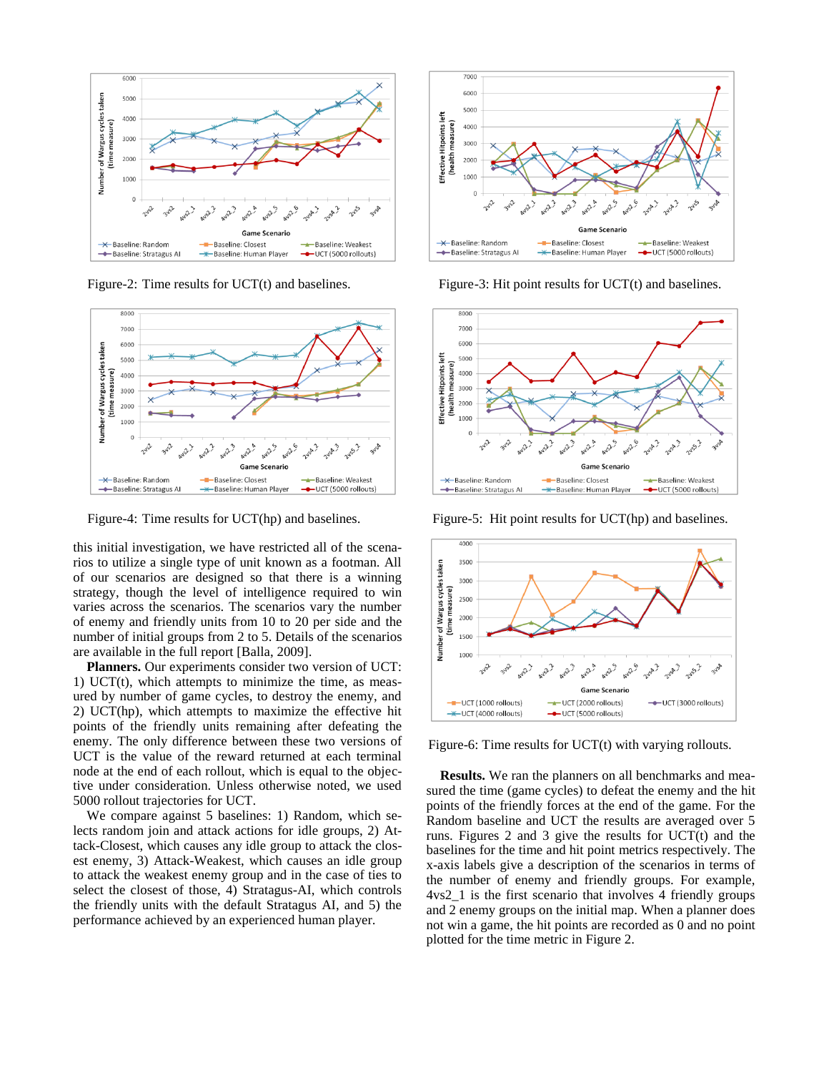

Figure-2: Time results for UCT(t) and baselines. Figure-3: Hit point results for UCT(t) and baselines.



this initial investigation, we have restricted all of the scenarios to utilize a single type of unit known as a footman. All of our scenarios are designed so that there is a winning strategy, though the level of intelligence required to win varies across the scenarios. The scenarios vary the number of enemy and friendly units from 10 to 20 per side and the number of initial groups from 2 to 5. Details of the scenarios are available in the full report [Balla, 2009].

**Planners.** Our experiments consider two version of UCT: 1) UCT $(t)$ , which attempts to minimize the time, as measured by number of game cycles, to destroy the enemy, and 2) UCT(hp), which attempts to maximize the effective hit points of the friendly units remaining after defeating the enemy. The only difference between these two versions of UCT is the value of the reward returned at each terminal node at the end of each rollout, which is equal to the objective under consideration. Unless otherwise noted, we used 5000 rollout trajectories for UCT.

We compare against 5 baselines: 1) Random, which selects random join and attack actions for idle groups, 2) Attack-Closest, which causes any idle group to attack the closest enemy, 3) Attack-Weakest, which causes an idle group to attack the weakest enemy group and in the case of ties to select the closest of those, 4) Stratagus-AI, which controls the friendly units with the default Stratagus AI, and 5) the performance achieved by an experienced human player.





Figure-4: Time results for UCT(hp) and baselines. Figure-5: Hit point results for UCT(hp) and baselines.



Figure-6: Time results for UCT(t) with varying rollouts.

**Results.** We ran the planners on all benchmarks and measured the time (game cycles) to defeat the enemy and the hit points of the friendly forces at the end of the game. For the Random baseline and UCT the results are averaged over 5 runs. Figures 2 and 3 give the results for UCT(t) and the baselines for the time and hit point metrics respectively. The x-axis labels give a description of the scenarios in terms of the number of enemy and friendly groups. For example, 4vs2\_1 is the first scenario that involves 4 friendly groups and 2 enemy groups on the initial map. When a planner does not win a game, the hit points are recorded as 0 and no point plotted for the time metric in Figure 2.